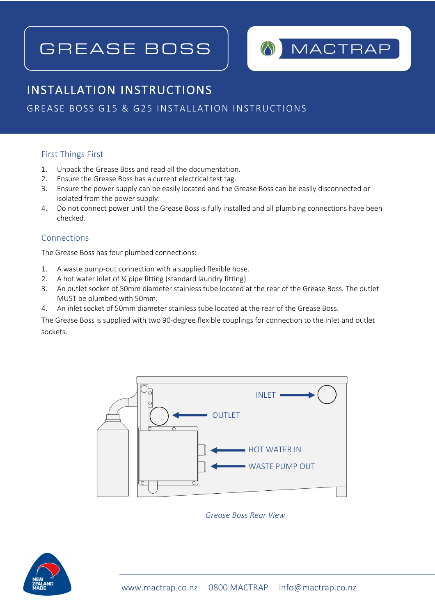# GREASE BOSS



# INSTALLATION INSTRUCTIONS

# GREASE BOSS G15 & G25 INSTALLATION INSTRUCTIONS

#### First Things First

 $\overline{a}$ 

- 1. Unpack the Grease Boss and read all the documentation.
- 2. Ensure the Grease Boss has a current electrical test tag.
- 3. Ensure the power supply can be easily located and the Grease Boss can be easily disconnected or isolated from the power supply.
- 4. Do not connect power until the Grease Boss is fully installed and all plumbing connections have been checked.

# Connections

The Grease Boss has four plumbed connections:

- 1. A waste pump-out connection with a supplied flexible hose.
- 2. A hot water inlet of ¾ pipe fitting (standard laundry fitting).
- 3. An outlet socket of 50mm diameter stainless tube located at the rear of the Grease Boss. The outlet MUST be plumbed with 50mm.
- 4. An inlet socket of 50mm diameter stainless tube located at the rear of the Grease Boss.

The Grease Boss is supplied with two 90-degree flexible couplings for connection to the inlet and outlet sockets.



*Grease Boss Rear View*

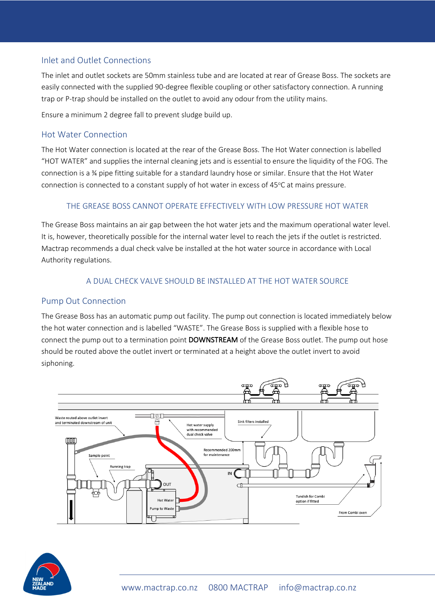### Inlet and Outlet Connections

The inlet and outlet sockets are 50mm stainless tube and are located at rear of Grease Boss. The sockets are easily connected with the supplied 90-degree flexible coupling or other satisfactory connection. A running trap or P-trap should be installed on the outlet to avoid any odour from the utility mains.

Ensure a minimum 2 degree fall to prevent sludge build up.

#### Hot Water Connection

The Hot Water connection is located at the rear of the Grease Boss. The Hot Water connection is labelled "HOT WATER" and supplies the internal cleaning jets and is essential to ensure the liquidity of the FOG. The connection is a ¾ pipe fitting suitable for a standard laundry hose or similar. Ensure that the Hot Water connection is connected to a constant supply of hot water in excess of 45°C at mains pressure.

#### THE GREASE BOSS CANNOT OPERATE EFFECTIVELY WITH LOW PRESSURE HOT WATER

The Grease Boss maintains an air gap between the hot water jets and the maximum operational water level. It is, however, theoretically possible for the internal water level to reach the jets if the outlet is restricted. Mactrap recommends a dual check valve be installed at the hot water source in accordance with Local Authority regulations.

#### A DUAL CHECK VALVE SHOULD BE INSTALLED AT THE HOT WATER SOURCE

#### Pump Out Connection

The Grease Boss has an automatic pump out facility. The pump out connection is located immediately below the hot water connection and is labelled "WASTE". The Grease Boss is supplied with a flexible hose to connect the pump out to a termination point DOWNSTREAM of the Grease Boss outlet. The pump out hose should be routed above the outlet invert or terminated at a height above the outlet invert to avoid siphoning.